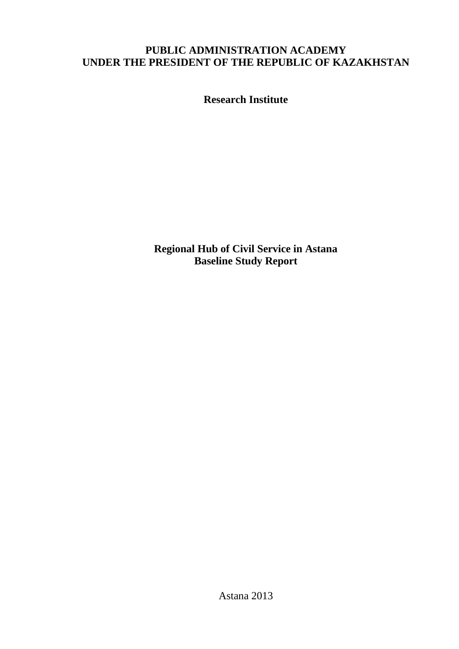# **PUBLIC ADMINISTRATION ACADEMY UNDER THE PRESIDENT OF THE REPUBLIC OF KAZAKHSTAN**

**Research Institute** 

**Regional Hub of Civil Service in Astana Baseline Study Report** 

Astana 2013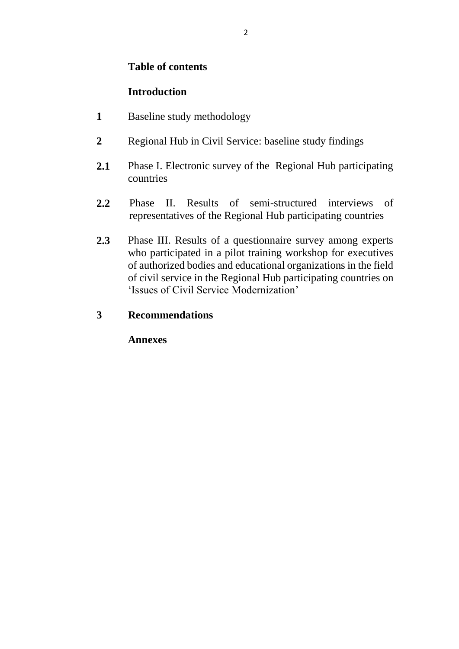## **Table of contents**

# **Introduction**

- **1** Baseline study methodology
- **2** Regional Hub in Civil Service: baseline study findings
- **2.1** Phase I. Electronic survey of the Regional Hub participating countries
- **2.2** Phase II. Results of semi-structured interviews of representatives of the Regional Hub participating countries
- **2.3** Phase III. Results of a questionnaire survey among experts who participated in a pilot training workshop for executives of authorized bodies and educational organizations in the field of civil service in the Regional Hub participating countries on 'Issues of Civil Service Modernization'

# **3 Recommendations**

**Annexes**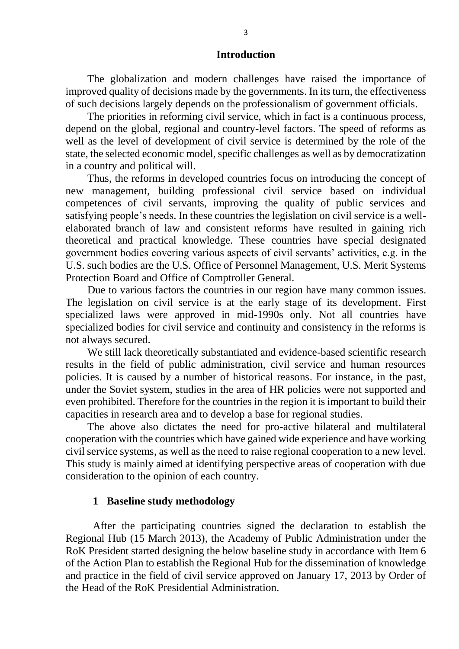#### **Introduction**

The globalization and modern challenges have raised the importance of improved quality of decisions made by the governments. In its turn, the effectiveness of such decisions largely depends on the professionalism of government officials.

The priorities in reforming civil service, which in fact is a continuous process, depend on the global, regional and country-level factors. The speed of reforms as well as the level of development of civil service is determined by the role of the state, the selected economic model, specific challenges as well as by democratization in a country and political will.

Thus, the reforms in developed countries focus on introducing the concept of new management, building professional civil service based on individual competences of civil servants, improving the quality of public services and satisfying people's needs. In these countries the legislation on civil service is a wellelaborated branch of law and consistent reforms have resulted in gaining rich theoretical and practical knowledge. These countries have special designated government bodies covering various aspects of civil servants' activities, e.g. in the U.S. such bodies are the U.S. Office of Personnel Management, U.S. Merit Systems Protection Board and Office of Comptroller General.

Due to various factors the countries in our region have many common issues. The legislation on civil service is at the early stage of its development. First specialized laws were approved in mid-1990s only. Not all countries have specialized bodies for civil service and continuity and consistency in the reforms is not always secured.

We still lack theoretically substantiated and evidence-based scientific research results in the field of public administration, civil service and human resources policies. It is caused by a number of historical reasons. For instance, in the past, under the Soviet system, studies in the area of HR policies were not supported and even prohibited. Therefore for the countries in the region it is important to build their capacities in research area and to develop a base for regional studies.

The above also dictates the need for pro-active bilateral and multilateral cooperation with the countries which have gained wide experience and have working civil service systems, as well as the need to raise regional cooperation to a new level. This study is mainly aimed at identifying perspective areas of cooperation with due consideration to the opinion of each country.

#### **1 Baseline study methodology**

After the participating countries signed the declaration to establish the Regional Hub (15 March 2013), the Academy of Public Administration under the RoK President started designing the below baseline study in accordance with Item 6 of the Action Plan to establish the Regional Hub for the dissemination of knowledge and practice in the field of civil service approved on January 17, 2013 by Order of the Head of the RoK Presidential Administration.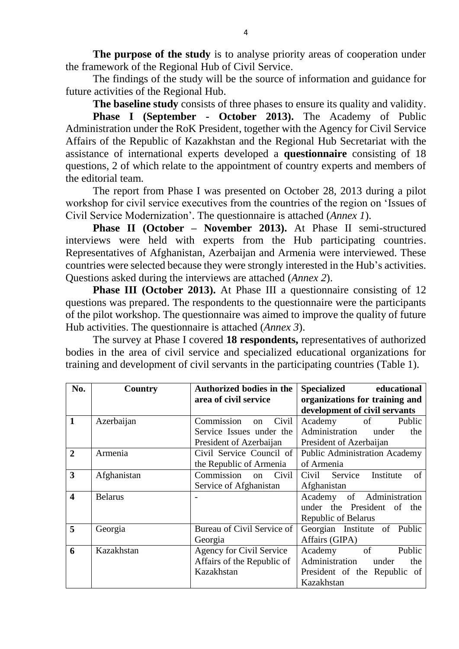**The purpose of the study** is to analyse priority areas of cooperation under the framework of the Regional Hub of Civil Service.

The findings of the study will be the source of information and guidance for future activities of the Regional Hub.

**The baseline study** consists of three phases to ensure its quality and validity. **Phase I (September - October 2013).** The Academy of Public Administration under the RoK President, together with the Agency for Civil Service Affairs of the Republic of Kazakhstan and the Regional Hub Secretariat with the assistance of international experts developed a **questionnaire** consisting of 18 questions, 2 of which relate to the appointment of country experts and members of the editorial team.

The report from Phase I was presented on October 28, 2013 during a pilot workshop for civil service executives from the countries of the region on 'Issues of Civil Service Modernization'. The questionnaire is attached (*Annex 1*).

**Phase II (October – November 2013).** At Phase II semi-structured interviews were held with experts from the Hub participating countries. Representatives of Afghanistan, Azerbaijan and Armenia were interviewed. These countries were selected because they were strongly interested in the Hub's activities. Questions asked during the interviews are attached (*Annex 2*).

**Phase III (October 2013).** At Phase III a questionnaire consisting of 12 questions was prepared. The respondents to the questionnaire were the participants of the pilot workshop. The questionnaire was aimed to improve the quality of future Hub activities. The questionnaire is attached (*Annex 3*).

The survey at Phase I covered **18 respondents,** representatives of authorized bodies in the area of civil service and specialized educational organizations for training and development of civil servants in the participating countries (Table 1).

| No.                     | Country        | Authorized bodies in the             | <b>Specialized</b><br>educational    |
|-------------------------|----------------|--------------------------------------|--------------------------------------|
|                         |                | area of civil service                | organizations for training and       |
|                         |                |                                      | development of civil servants        |
| 1                       | Azerbaijan     | Commission<br>Civil<br><sub>on</sub> | Academy<br>Public<br>of              |
|                         |                | Service Issues under the             | Administration<br>under<br>the       |
|                         |                | President of Azerbaijan              | President of Azerbaijan              |
| $\overline{2}$          | Armenia        | Civil Service Council of             | <b>Public Administration Academy</b> |
|                         |                | the Republic of Armenia              | of Armenia                           |
| 3                       | Afghanistan    | Commission<br>Civil<br>on            | Civil Service<br>Institute<br>of     |
|                         |                | Service of Afghanistan               | Afghanistan                          |
| $\overline{\mathbf{4}}$ | <b>Belarus</b> |                                      | of Administration<br>Academy         |
|                         |                |                                      | under the President of the           |
|                         |                |                                      | Republic of Belarus                  |
| 5                       | Georgia        | Bureau of Civil Service of           | Georgian Institute of Public         |
|                         |                | Georgia                              | Affairs (GIPA)                       |
| 6                       | Kazakhstan     | Agency for Civil Service             | Public<br>of<br>Academy              |
|                         |                | Affairs of the Republic of           | Administration<br>under<br>the       |
|                         |                | Kazakhstan                           | President of the Republic of         |
|                         |                |                                      | Kazakhstan                           |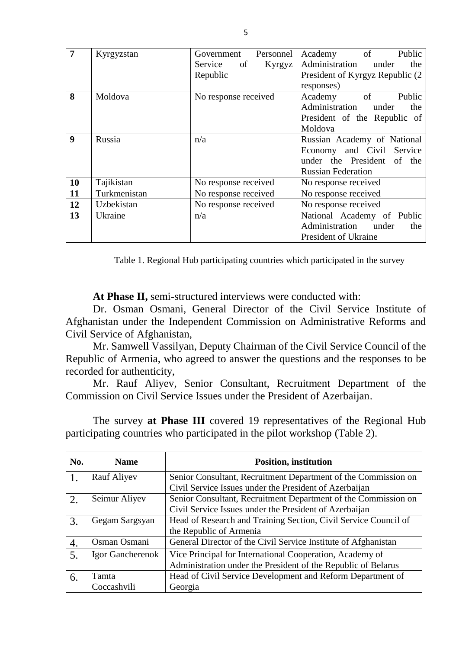| $\overline{7}$   | Kyrgyzstan   | Government Personnel | Academy of Public                |
|------------------|--------------|----------------------|----------------------------------|
|                  |              | Service of<br>Kyrgyz | Administration<br>under<br>the   |
|                  |              | Republic             | President of Kyrgyz Republic (2) |
|                  |              |                      | responses)                       |
| 8                | Moldova      | No response received | Public<br>Academy<br>of          |
|                  |              |                      | Administration<br>under<br>the   |
|                  |              |                      | President of the Republic of     |
|                  |              |                      | Moldova                          |
| $\boldsymbol{9}$ | Russia       | n/a                  | Russian Academy of National      |
|                  |              |                      | Economy and Civil Service        |
|                  |              |                      | under the President<br>of the    |
|                  |              |                      | <b>Russian Federation</b>        |
| 10               | Tajikistan   | No response received | No response received             |
| 11               | Turkmenistan | No response received | No response received             |
| 12               | Uzbekistan   | No response received | No response received             |
| 13               | Ukraine      | n/a                  | National Academy of Public       |
|                  |              |                      | Administration under<br>the      |
|                  |              |                      | President of Ukraine             |

Table 1. Regional Hub participating countries which participated in the survey

**At Phase II,** semi-structured interviews were conducted with:

Dr. Osman Osmani, General Director of the Civil Service Institute of Afghanistan under the Independent Commission on Administrative Reforms and Civil Service of Afghanistan,

Mr. Samwell Vassilyan, Deputy Chairman of the Civil Service Council of the Republic of Armenia, who agreed to answer the questions and the responses to be recorded for authenticity,

Mr. Rauf Aliyev, Senior Consultant, Recruitment Department of the Commission on Civil Service Issues under the President of Azerbaijan.

The survey **at Phase III** covered 19 representatives of the Regional Hub participating countries who participated in the pilot workshop (Table 2).

| No.              | <b>Name</b>      | <b>Position, institution</b>                                    |  |  |  |
|------------------|------------------|-----------------------------------------------------------------|--|--|--|
|                  | Rauf Aliyev      | Senior Consultant, Recruitment Department of the Commission on  |  |  |  |
|                  |                  | Civil Service Issues under the President of Azerbaijan          |  |  |  |
| $\overline{2}$ . | Seimur Aliyev    | Senior Consultant, Recruitment Department of the Commission on  |  |  |  |
|                  |                  | Civil Service Issues under the President of Azerbaijan          |  |  |  |
| 3.               | Gegam Sargsyan   | Head of Research and Training Section, Civil Service Council of |  |  |  |
|                  |                  | the Republic of Armenia                                         |  |  |  |
| 4.               | Osman Osmani     | General Director of the Civil Service Institute of Afghanistan  |  |  |  |
| 5.               | Igor Gancherenok | Vice Principal for International Cooperation, Academy of        |  |  |  |
|                  |                  | Administration under the President of the Republic of Belarus   |  |  |  |
| 6.               | Tamta            | Head of Civil Service Development and Reform Department of      |  |  |  |
|                  | Coccashvili      | Georgia                                                         |  |  |  |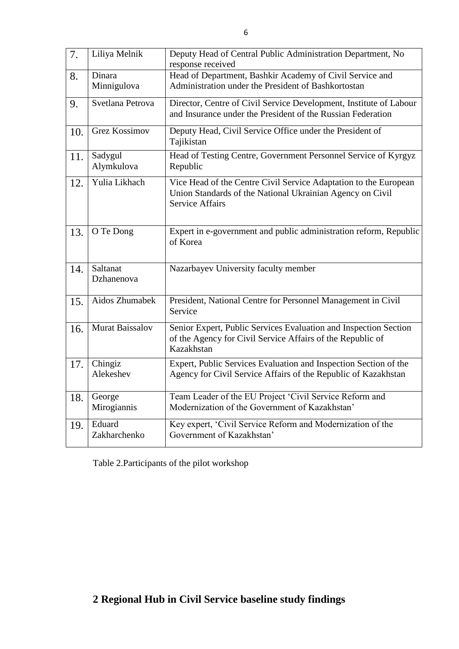| 7.  | Liliya Melnik          | Deputy Head of Central Public Administration Department, No<br>response received                                                                        |
|-----|------------------------|---------------------------------------------------------------------------------------------------------------------------------------------------------|
| 8.  | Dinara<br>Minnigulova  | Head of Department, Bashkir Academy of Civil Service and<br>Administration under the President of Bashkortostan                                         |
| 9.  | Svetlana Petrova       | Director, Centre of Civil Service Development, Institute of Labour<br>and Insurance under the President of the Russian Federation                       |
| 10. | <b>Grez Kossimov</b>   | Deputy Head, Civil Service Office under the President of<br>Tajikistan                                                                                  |
| 11. | Sadygul<br>Alymkulova  | Head of Testing Centre, Government Personnel Service of Kyrgyz<br>Republic                                                                              |
| 12. | Yulia Likhach          | Vice Head of the Centre Civil Service Adaptation to the European<br>Union Standards of the National Ukrainian Agency on Civil<br><b>Service Affairs</b> |
| 13. | O Te Dong              | Expert in e-government and public administration reform, Republic<br>of Korea                                                                           |
| 14. | Saltanat<br>Dzhanenova | Nazarbayev University faculty member                                                                                                                    |
| 15. | Aidos Zhumabek         | President, National Centre for Personnel Management in Civil<br>Service                                                                                 |
| 16. | <b>Murat Baissalov</b> | Senior Expert, Public Services Evaluation and Inspection Section<br>of the Agency for Civil Service Affairs of the Republic of<br>Kazakhstan            |
| 17. | Chingiz<br>Alekeshev   | Expert, Public Services Evaluation and Inspection Section of the<br>Agency for Civil Service Affairs of the Republic of Kazakhstan                      |
| 18. | George<br>Mirogiannis  | Team Leader of the EU Project 'Civil Service Reform and<br>Modernization of the Government of Kazakhstan'                                               |
| 19. | Eduard<br>Zakharchenko | Key expert, 'Civil Service Reform and Modernization of the<br>Government of Kazakhstan'                                                                 |

Table 2.Participants of the pilot workshop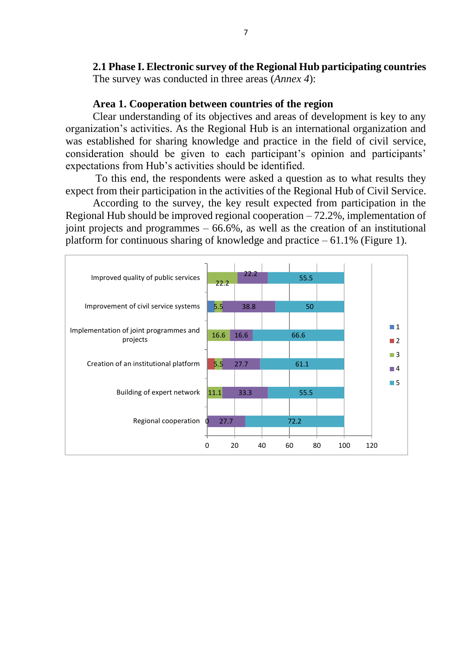**2.1 Phase I. Electronic survey of the Regional Hub participating countries** The survey was conducted in three areas (*Annex 4*):

#### **Area 1. Cooperation between countries of the region**

Clear understanding of its objectives and areas of development is key to any organization's activities. As the Regional Hub is an international organization and was established for sharing knowledge and practice in the field of civil service, consideration should be given to each participant's opinion and participants' expectations from Hub's activities should be identified.

To this end, the respondents were asked a question as to what results they expect from their participation in the activities of the Regional Hub of Civil Service.

According to the survey, the key result expected from participation in the Regional Hub should be improved regional cooperation  $-72.2\%$ , implementation of joint projects and programmes – 66.6%, as well as the creation of an institutional platform for continuous sharing of knowledge and practice  $-61.1\%$  (Figure 1).

| Improved quality of public services                | 22.2      | 22.2     | 55.5 |    |            |                                      |
|----------------------------------------------------|-----------|----------|------|----|------------|--------------------------------------|
| Improvement of civil service systems               | 5.5       | 38.8     | 50   |    |            |                                      |
| Implementation of joint programmes and<br>projects | 16.6      | 16.6     | 66.6 |    |            | $\blacksquare$ 1<br>$\blacksquare$ 2 |
| Creation of an institutional platform              | 5.5       | 27.7     | 61.1 |    |            | $\Box$ 3<br>$\Box$ 4                 |
| Building of expert network                         | $11.1$    | 33.3     | 55.5 |    |            | $\blacksquare$ 5                     |
| Regional cooperation                               | 27.7<br>0 |          | 72.2 |    |            |                                      |
|                                                    | $\Omega$  | 20<br>40 | 60   | 80 | 100<br>120 |                                      |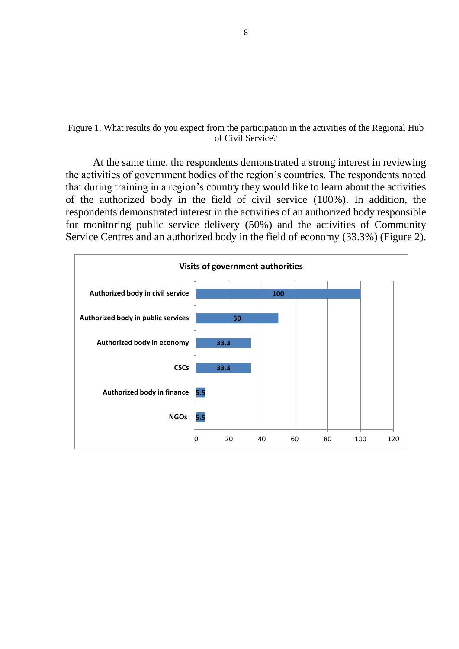#### Figure 1. What results do you expect from the participation in the activities of the Regional Hub of Civil Service?

At the same time, the respondents demonstrated a strong interest in reviewing the activities of government bodies of the region's countries. The respondents noted that during training in a region's country they would like to learn about the activities of the authorized body in the field of civil service (100%). In addition, the respondents demonstrated interest in the activities of an authorized body responsible for monitoring public service delivery (50%) and the activities of Community Service Centres and an authorized body in the field of economy (33.3%) (Figure 2).

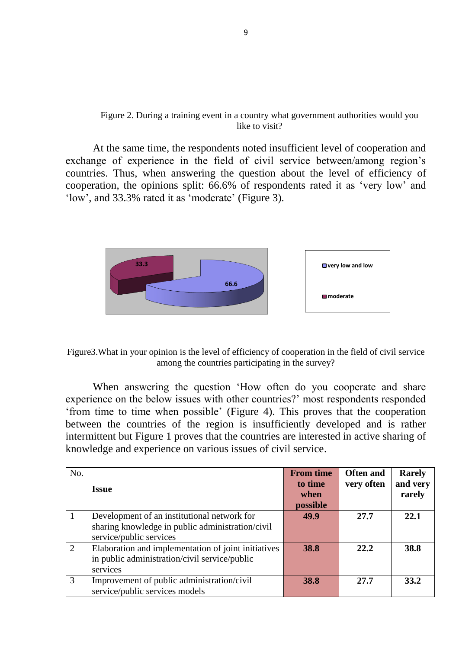#### Figure 2. During a training event in a country what government authorities would you like to visit?

At the same time, the respondents noted insufficient level of cooperation and exchange of experience in the field of civil service between/among region's countries. Thus, when answering the question about the level of efficiency of cooperation, the opinions split: 66.6% of respondents rated it as 'very low' and 'low', and 33.3% rated it as 'moderate' (Figure 3).



Figure3.What in your opinion is the level of efficiency of cooperation in the field of civil service among the countries participating in the survey?

When answering the question 'How often do you cooperate and share experience on the below issues with other countries?' most respondents responded 'from time to time when possible' (Figure 4). This proves that the cooperation between the countries of the region is insufficiently developed and is rather intermittent but Figure 1 proves that the countries are interested in active sharing of knowledge and experience on various issues of civil service.

| No. |                                                     | <b>From time</b> | <b>Often and</b> | <b>Rarely</b> |
|-----|-----------------------------------------------------|------------------|------------------|---------------|
|     | <b>Issue</b>                                        | to time          | very often       | and very      |
|     |                                                     | when             |                  | rarely        |
|     |                                                     | possible         |                  |               |
|     | Development of an institutional network for         | 49.9             | 27.7             | 22.1          |
|     | sharing knowledge in public administration/civil    |                  |                  |               |
|     | service/public services                             |                  |                  |               |
| 2   | Elaboration and implementation of joint initiatives | 38.8             | 22.2             | 38.8          |
|     | in public administration/civil service/public       |                  |                  |               |
|     | services                                            |                  |                  |               |
| 3   | Improvement of public administration/civil          | 38.8             | 27.7             | 33.2          |
|     | service/public services models                      |                  |                  |               |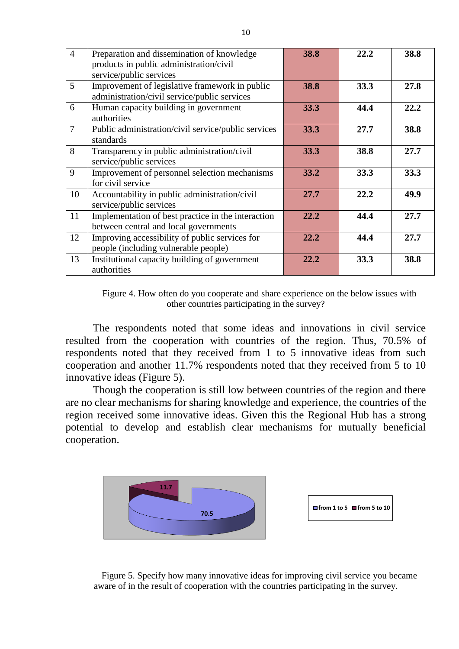| $\overline{4}$ | Preparation and dissemination of knowledge          | 38.8 | 22.2 | 38.8 |
|----------------|-----------------------------------------------------|------|------|------|
|                | products in public administration/civil             |      |      |      |
|                | service/public services                             |      |      |      |
| 5              | Improvement of legislative framework in public      | 38.8 | 33.3 | 27.8 |
|                | administration/civil service/public services        |      |      |      |
| 6              | Human capacity building in government               | 33.3 | 44.4 | 22.2 |
|                | authorities                                         |      |      |      |
| $\overline{7}$ | Public administration/civil service/public services | 33.3 | 27.7 | 38.8 |
|                | standards                                           |      |      |      |
| 8              | Transparency in public administration/civil         | 33.3 | 38.8 | 27.7 |
|                | service/public services                             |      |      |      |
| 9              | Improvement of personnel selection mechanisms       | 33.2 | 33.3 | 33.3 |
|                | for civil service                                   |      |      |      |
| 10             | Accountability in public administration/civil       | 27.7 | 22.2 | 49.9 |
|                | service/public services                             |      |      |      |
| 11             | Implementation of best practice in the interaction  | 22.2 | 44.4 | 27.7 |
|                | between central and local governments               |      |      |      |
| 12             | Improving accessibility of public services for      | 22.2 | 44.4 | 27.7 |
|                | people (including vulnerable people)                |      |      |      |
| 13             | Institutional capacity building of government       | 22.2 | 33.3 | 38.8 |
|                | authorities                                         |      |      |      |

Figure 4. How often do you cooperate and share experience on the below issues with other countries participating in the survey?

The respondents noted that some ideas and innovations in civil service resulted from the cooperation with countries of the region. Thus, 70.5% of respondents noted that they received from 1 to 5 innovative ideas from such cooperation and another 11.7% respondents noted that they received from 5 to 10 innovative ideas (Figure 5).

Though the cooperation is still low between countries of the region and there are no clear mechanisms for sharing knowledge and experience, the countries of the region received some innovative ideas. Given this the Regional Hub has a strong potential to develop and establish clear mechanisms for mutually beneficial cooperation.



Figure 5. Specify how many innovative ideas for improving civil service you became aware of in the result of cooperation with the countries participating in the survey.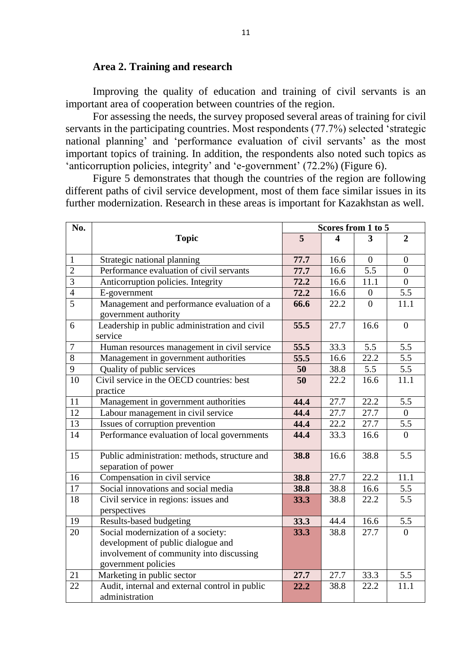### **Area 2. Training and research**

Improving the quality of education and training of civil servants is an important area of cooperation between countries of the region.

For assessing the needs, the survey proposed several areas of training for civil servants in the participating countries. Most respondents (77.7%) selected 'strategic national planning' and 'performance evaluation of civil servants' as the most important topics of training. In addition, the respondents also noted such topics as 'anticorruption policies, integrity' and 'e-government' (72.2%) (Figure 6).

Figure 5 demonstrates that though the countries of the region are following different paths of civil service development, most of them face similar issues in its further modernization. Research in these areas is important for Kazakhstan as well.

| No.            |                                                                      | Scores from 1 to 5 |      |                  |                  |  |
|----------------|----------------------------------------------------------------------|--------------------|------|------------------|------------------|--|
|                | <b>Topic</b>                                                         | 5                  | 4    | 3                | $\overline{2}$   |  |
| $\mathbf{1}$   | Strategic national planning                                          | 77.7               | 16.6 | $\overline{0}$   | $\boldsymbol{0}$ |  |
| $\overline{2}$ | Performance evaluation of civil servants                             | 77.7               | 16.6 | $\overline{5.5}$ | $\overline{0}$   |  |
| $\overline{3}$ | Anticorruption policies. Integrity                                   | 72.2               | 16.6 | 11.1             | $\overline{0}$   |  |
| $\overline{4}$ | E-government                                                         | 72.2               | 16.6 | $\boldsymbol{0}$ | 5.5              |  |
| $\overline{5}$ | Management and performance evaluation of a<br>government authority   | 66.6               | 22.2 | $\theta$         | 11.1             |  |
| 6              | Leadership in public administration and civil<br>service             | 55.5               | 27.7 | 16.6             | $\overline{0}$   |  |
| $\overline{7}$ | Human resources management in civil service                          | 55.5               | 33.3 | 5.5              | 5.5              |  |
| $\overline{8}$ | Management in government authorities                                 | 55.5               | 16.6 | 22.2             | 5.5              |  |
| 9              | Quality of public services                                           | 50                 | 38.8 | 5.5              | 5.5              |  |
| 10             | Civil service in the OECD countries: best                            | 50                 | 22.2 | 16.6             | 11.1             |  |
|                | practice                                                             |                    |      |                  |                  |  |
| 11             | Management in government authorities                                 | 44.4               | 27.7 | 22.2             | 5.5              |  |
| 12             | Labour management in civil service                                   | 44.4               | 27.7 | 27.7             | $\overline{0}$   |  |
| 13             | Issues of corruption prevention                                      | 44.4               | 22.2 | 27.7             | 5.5              |  |
| 14             | Performance evaluation of local governments                          | 44.4               | 33.3 | 16.6             | $\theta$         |  |
| 15             | Public administration: methods, structure and<br>separation of power | 38.8               | 16.6 | 38.8             | 5.5              |  |
| 16             | Compensation in civil service                                        | 38.8               | 27.7 | 22.2             | 11.1             |  |
| 17             | Social innovations and social media                                  | 38.8               | 38.8 | 16.6             | 5.5              |  |
| 18             | Civil service in regions: issues and<br>perspectives                 | 33.3               | 38.8 | 22.2             | 5.5              |  |
| 19             | Results-based budgeting                                              | 33.3               | 44.4 | 16.6             | 5.5              |  |
| 20             | Social modernization of a society:                                   | 33.3               | 38.8 | 27.7             | $\overline{0}$   |  |
|                | development of public dialogue and                                   |                    |      |                  |                  |  |
|                | involvement of community into discussing                             |                    |      |                  |                  |  |
|                | government policies                                                  |                    |      |                  |                  |  |
| 21             | Marketing in public sector                                           | 27.7               | 27.7 | 33.3             | 5.5              |  |
| 22             | Audit, internal and external control in public<br>administration     | 22.2               | 38.8 | 22.2             | 11.1             |  |
|                |                                                                      |                    |      |                  |                  |  |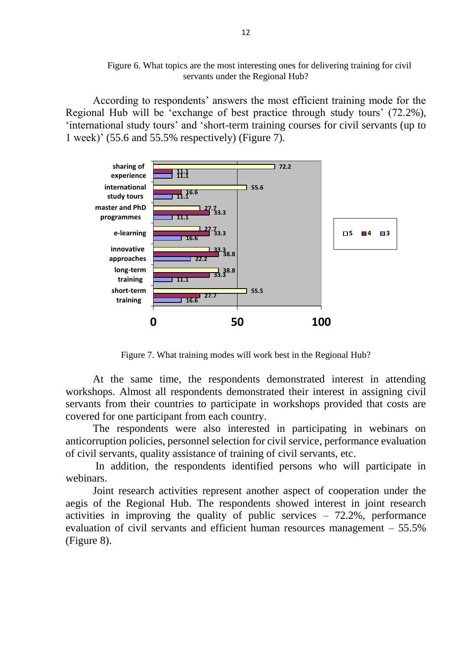Figure 6. What topics are the most interesting ones for delivering training for civil servants under the Regional Hub?

According to respondents' answers the most efficient training mode for the Regional Hub will be 'exchange of best practice through study tours' (72.2%), 'international study tours' and 'short-term training courses for civil servants (up to 1 week)' (55.6 and 55.5% respectively) (Figure 7).



Figure 7. What training modes will work best in the Regional Hub?

At the same time, the respondents demonstrated interest in attending workshops. Almost all respondents demonstrated their interest in assigning civil servants from their countries to participate in workshops provided that costs are covered for one participant from each country.

The respondents were also interested in participating in webinars on anticorruption policies, personnel selection for civil service, performance evaluation of civil servants, quality assistance of training of civil servants, etc.

In addition, the respondents identified persons who will participate in webinars.

Joint research activities represent another aspect of cooperation under the aegis of the Regional Hub. The respondents showed interest in joint research activities in improving the quality of public services – 72.2%, performance evaluation of civil servants and efficient human resources management – 55.5% (Figure 8).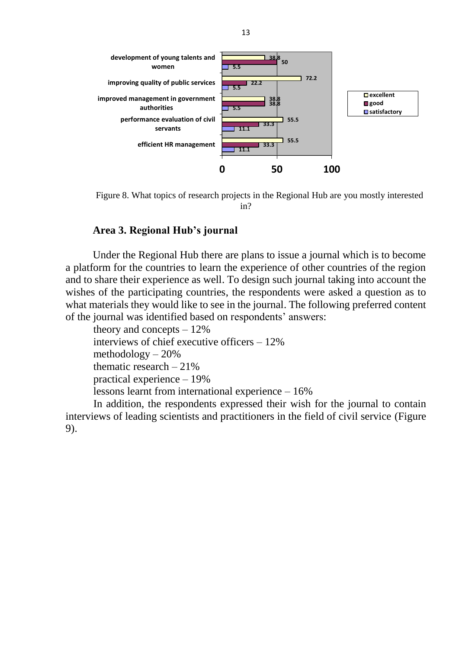

Figure 8. What topics of research projects in the Regional Hub are you mostly interested in?

#### **Area 3. Regional Hub's journal**

Under the Regional Hub there are plans to issue a journal which is to become a platform for the countries to learn the experience of other countries of the region and to share their experience as well. To design such journal taking into account the wishes of the participating countries, the respondents were asked a question as to what materials they would like to see in the journal. The following preferred content of the journal was identified based on respondents' answers:

theory and concepts – 12% interviews of chief executive officers – 12% methodology – 20% thematic research  $-21\%$ practical experience – 19% lessons learnt from international experience – 16% In addition, the respondents expressed their wish for the journal to contain

interviews of leading scientists and practitioners in the field of civil service (Figure 9).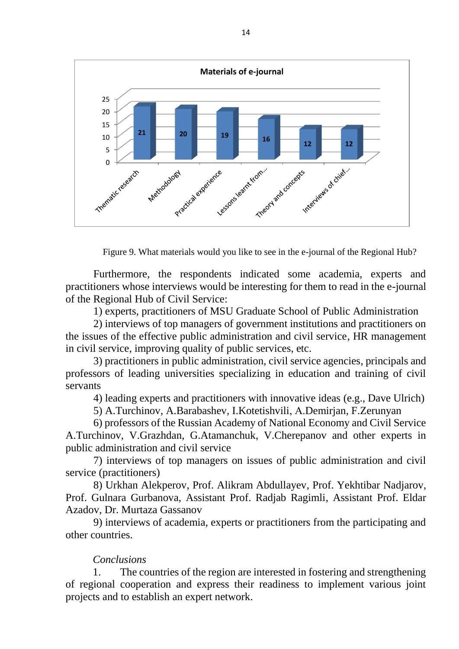

Figure 9. What materials would you like to see in the e-journal of the Regional Hub?

Furthermore, the respondents indicated some academia, experts and practitioners whose interviews would be interesting for them to read in the e-journal of the Regional Hub of Civil Service:

1) experts, practitioners of MSU Graduate School of Public Administration

2) interviews of top managers of government institutions and practitioners on the issues of the effective public administration and civil service, HR management in civil service, improving quality of public services, etc.

3) practitioners in public administration, civil service agencies, principals and professors of leading universities specializing in education and training of civil servants

4) leading experts and practitioners with innovative ideas (e.g., Dave Ulrich)

5) A.Turchinov, A.Barabashev, I.Kotetishvili, А.Demirjan, F.Zerunyan

6) professors of the Russian Academy of National Economy and Civil Service A.Turchinov, V.Grazhdan, G.Atamanchuk, V.Cherepanov and other experts in public administration and civil service

7) interviews of top managers on issues of public administration and civil service (practitioners)

8) Urkhan Alekperov, Prof. Alikram Abdullayev, Prof. Yekhtibar Nadjarov, Prof. Gulnara Gurbanova, Assistant Prof. Radjab Ragimli, Assistant Prof. Eldar Azadov, Dr. Murtaza Gassanov

9) interviews of academia, experts or practitioners from the participating and other countries.

#### *Conclusions*

1. The countries of the region are interested in fostering and strengthening of regional cooperation and express their readiness to implement various joint projects and to establish an expert network.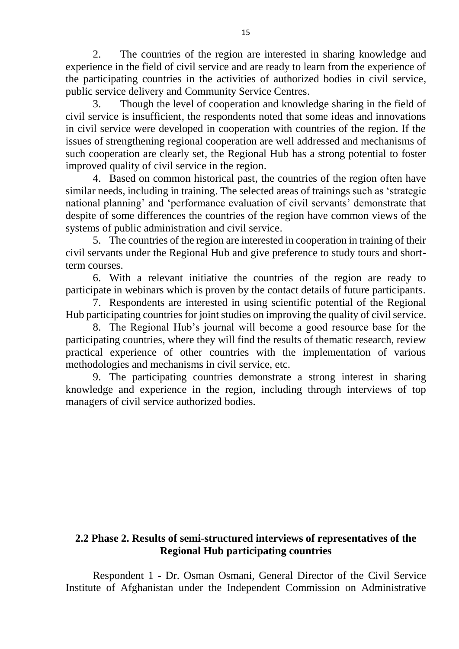2. The countries of the region are interested in sharing knowledge and experience in the field of civil service and are ready to learn from the experience of the participating countries in the activities of authorized bodies in civil service, public service delivery and Community Service Centres.

3. Though the level of cooperation and knowledge sharing in the field of civil service is insufficient, the respondents noted that some ideas and innovations in civil service were developed in cooperation with countries of the region. If the issues of strengthening regional cooperation are well addressed and mechanisms of such cooperation are clearly set, the Regional Hub has a strong potential to foster improved quality of civil service in the region.

4. Based on common historical past, the countries of the region often have similar needs, including in training. The selected areas of trainings such as 'strategic national planning' and 'performance evaluation of civil servants' demonstrate that despite of some differences the countries of the region have common views of the systems of public administration and civil service.

5. The countries of the region are interested in cooperation in training of their civil servants under the Regional Hub and give preference to study tours and shortterm courses.

6. With a relevant initiative the countries of the region are ready to participate in webinars which is proven by the contact details of future participants.

7. Respondents are interested in using scientific potential of the Regional Hub participating countries for joint studies on improving the quality of civil service.

8. The Regional Hub's journal will become a good resource base for the participating countries, where they will find the results of thematic research, review practical experience of other countries with the implementation of various methodologies and mechanisms in civil service, etc.

9. The participating countries demonstrate a strong interest in sharing knowledge and experience in the region, including through interviews of top managers of civil service authorized bodies.

### **2.2 Phase 2. Results of semi-structured interviews of representatives of the Regional Hub participating countries**

Respondent 1 - Dr. Osman Osmani, General Director of the Civil Service Institute of Afghanistan under the Independent Commission on Administrative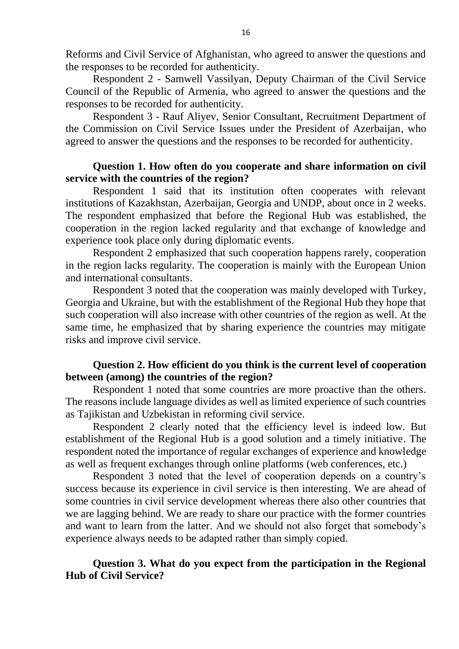Reforms and Civil Service of Afghanistan, who agreed to answer the questions and the responses to be recorded for authenticity.

Respondent 2 - Samwell Vassilyan, Deputy Chairman of the Civil Service Council of the Republic of Armenia, who agreed to answer the questions and the responses to be recorded for authenticity.

Respondent 3 - Rauf Aliyev, Senior Consultant, Recruitment Department of the Commission on Civil Service Issues under the President of Azerbaijan, who agreed to answer the questions and the responses to be recorded for authenticity.

### **Question 1. How often do you cooperate and share information on civil service with the countries of the region?**

Respondent 1 said that its institution often cooperates with relevant institutions of Kazakhstan, Azerbaijan, Georgia and UNDP, about once in 2 weeks. The respondent emphasized that before the Regional Hub was established, the cooperation in the region lacked regularity and that exchange of knowledge and experience took place only during diplomatic events.

Respondent 2 emphasized that such cooperation happens rarely, cooperation in the region lacks regularity. The cooperation is mainly with the European Union and international consultants.

Respondent 3 noted that the cooperation was mainly developed with Turkey, Georgia and Ukraine, but with the establishment of the Regional Hub they hope that such cooperation will also increase with other countries of the region as well. At the same time, he emphasized that by sharing experience the countries may mitigate risks and improve civil service.

## **Question 2. How efficient do you think is the current level of cooperation between (among) the countries of the region?**

Respondent 1 noted that some countries are more proactive than the others. The reasons include language divides as well as limited experience of such countries as Tajikistan and Uzbekistan in reforming civil service.

Respondent 2 clearly noted that the efficiency level is indeed low. But establishment of the Regional Hub is a good solution and a timely initiative. The respondent noted the importance of regular exchanges of experience and knowledge as well as frequent exchanges through online platforms (web conferences, etc.)

Respondent 3 noted that the level of cooperation depends on a country's success because its experience in civil service is then interesting. We are ahead of some countries in civil service development whereas there also other countries that we are lagging behind. We are ready to share our practice with the former countries and want to learn from the latter. And we should not also forget that somebody's experience always needs to be adapted rather than simply copied.

## **Question 3. What do you expect from the participation in the Regional Hub of Civil Service?**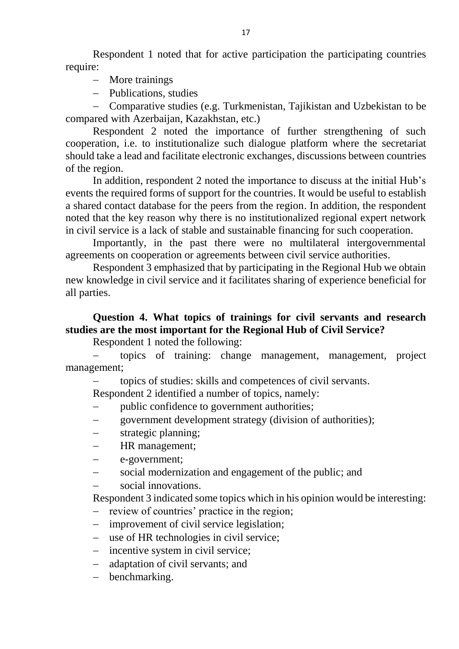Respondent 1 noted that for active participation the participating countries require:

- More trainings
- Publications, studies

 Comparative studies (e.g. Turkmenistan, Tajikistan and Uzbekistan to be compared with Azerbaijan, Kazakhstan, etc.)

Respondent 2 noted the importance of further strengthening of such cooperation, i.e. to institutionalize such dialogue platform where the secretariat should take a lead and facilitate electronic exchanges, discussions between countries of the region.

In addition, respondent 2 noted the importance to discuss at the initial Hub's events the required forms of support for the countries. It would be useful to establish a shared contact database for the peers from the region. In addition, the respondent noted that the key reason why there is no institutionalized regional expert network in civil service is a lack of stable and sustainable financing for such cooperation.

Importantly, in the past there were no multilateral intergovernmental agreements on cooperation or agreements between civil service authorities.

Respondent 3 emphasized that by participating in the Regional Hub we obtain new knowledge in civil service and it facilitates sharing of experience beneficial for all parties.

# **Question 4. What topics of trainings for civil servants and research studies are the most important for the Regional Hub of Civil Service?**

Respondent 1 noted the following:

 topics of training: change management, management, project management;

topics of studies: skills and competences of civil servants.

Respondent 2 identified a number of topics, namely:

- public confidence to government authorities;
- government development strategy (division of authorities);
- strategic planning;
- HR management;
- e-government;
- social modernization and engagement of the public; and
- social innovations.

Respondent 3 indicated some topics which in his opinion would be interesting:

- review of countries' practice in the region;
- improvement of civil service legislation;
- use of HR technologies in civil service;
- incentive system in civil service;
- adaptation of civil servants; and
- benchmarking.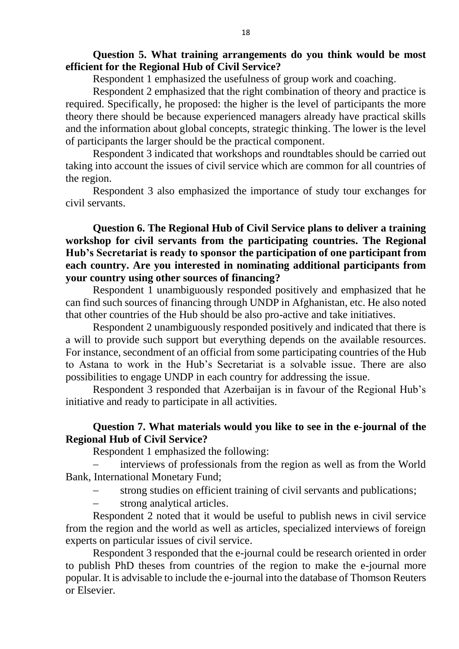### **Question 5. What training arrangements do you think would be most efficient for the Regional Hub of Civil Service?**

Respondent 1 emphasized the usefulness of group work and coaching.

Respondent 2 emphasized that the right combination of theory and practice is required. Specifically, he proposed: the higher is the level of participants the more theory there should be because experienced managers already have practical skills and the information about global concepts, strategic thinking. The lower is the level of participants the larger should be the practical component.

Respondent 3 indicated that workshops and roundtables should be carried out taking into account the issues of civil service which are common for all countries of the region.

Respondent 3 also emphasized the importance of study tour exchanges for civil servants.

**Question 6. The Regional Hub of Civil Service plans to deliver a training workshop for civil servants from the participating countries. The Regional Hub's Secretariat is ready to sponsor the participation of one participant from each country. Are you interested in nominating additional participants from your country using other sources of financing?**

Respondent 1 unambiguously responded positively and emphasized that he can find such sources of financing through UNDP in Afghanistan, etc. He also noted that other countries of the Hub should be also pro-active and take initiatives.

Respondent 2 unambiguously responded positively and indicated that there is a will to provide such support but everything depends on the available resources. For instance, secondment of an official from some participating countries of the Hub to Astana to work in the Hub's Secretariat is a solvable issue. There are also possibilities to engage UNDP in each country for addressing the issue.

Respondent 3 responded that Azerbaijan is in favour of the Regional Hub's initiative and ready to participate in all activities.

### **Question 7. What materials would you like to see in the e-journal of the Regional Hub of Civil Service?**

Respondent 1 emphasized the following:

 interviews of professionals from the region as well as from the World Bank, International Monetary Fund;

- strong studies on efficient training of civil servants and publications;
- strong analytical articles.

Respondent 2 noted that it would be useful to publish news in civil service from the region and the world as well as articles, specialized interviews of foreign experts on particular issues of civil service.

Respondent 3 responded that the e-journal could be research oriented in order to publish PhD theses from countries of the region to make the e-journal more popular. It is advisable to include the e-journal into the database of Thomson Reuters or Elsevier.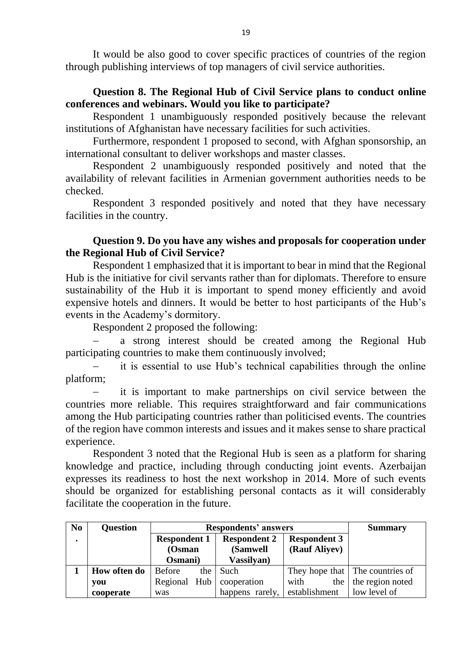It would be also good to cover specific practices of countries of the region through publishing interviews of top managers of civil service authorities.

## **Question 8. The Regional Hub of Civil Service plans to conduct online conferences and webinars. Would you like to participate?**

Respondent 1 unambiguously responded positively because the relevant institutions of Afghanistan have necessary facilities for such activities.

Furthermore, respondent 1 proposed to second, with Afghan sponsorship, an international consultant to deliver workshops and master classes.

Respondent 2 unambiguously responded positively and noted that the availability of relevant facilities in Armenian government authorities needs to be checked.

Respondent 3 responded positively and noted that they have necessary facilities in the country.

## **Question 9. Do you have any wishes and proposals for cooperation under the Regional Hub of Civil Service?**

Respondent 1 emphasized that it is important to bear in mind that the Regional Hub is the initiative for civil servants rather than for diplomats. Therefore to ensure sustainability of the Hub it is important to spend money efficiently and avoid expensive hotels and dinners. It would be better to host participants of the Hub's events in the Academy's dormitory.

Respondent 2 proposed the following:

 a strong interest should be created among the Regional Hub participating countries to make them continuously involved;

 it is essential to use Hub's technical capabilities through the online platform;

 it is important to make partnerships on civil service between the countries more reliable. This requires straightforward and fair communications among the Hub participating countries rather than politicised events. The countries of the region have common interests and issues and it makes sense to share practical experience.

Respondent 3 noted that the Regional Hub is seen as a platform for sharing knowledge and practice, including through conducting joint events. Azerbaijan expresses its readiness to host the next workshop in 2014. More of such events should be organized for establishing personal contacts as it will considerably facilitate the cooperation in the future.

| N <sub>0</sub> | <b>Question</b> |                     | <b>Respondents' answers</b> |                     |                              |                                 |  |
|----------------|-----------------|---------------------|-----------------------------|---------------------|------------------------------|---------------------------------|--|
| $\bullet$      |                 | <b>Respondent 1</b> |                             | <b>Respondent 2</b> | <b>Respondent 3</b>          |                                 |  |
|                |                 | (Osman              |                             | (Samwell)           | (Rauf Aliyev)                |                                 |  |
|                |                 | Osmani)             |                             | Vassilyan)          |                              |                                 |  |
|                | How often do    | <b>Before</b>       |                             | the $\vert$ Such    |                              | They hope that The countries of |  |
|                | you             | Regional Hub        |                             | cooperation         | with                         | the the region noted            |  |
|                | cooperate       | was                 |                             | happens rarely,     | establishment   low level of |                                 |  |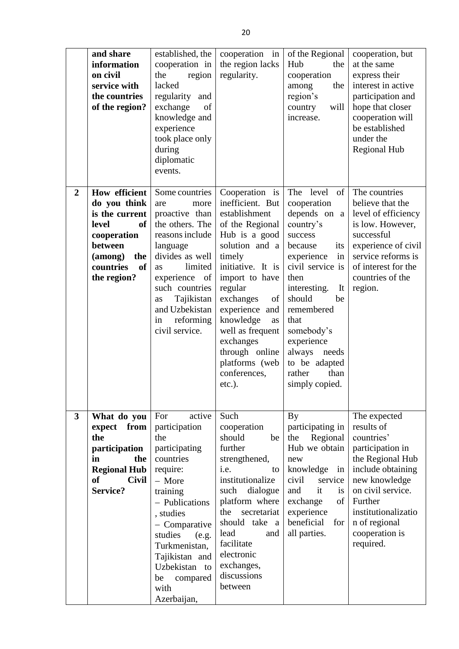|                         | and share<br>information<br>on civil<br>service with<br>the countries<br>of the region?                                                                           | established, the<br>cooperation in<br>region<br>the<br>lacked<br>regularity<br>and<br>exchange<br>of<br>knowledge and<br>experience<br>took place only<br>during<br>diplomatic<br>events.                                                                              | cooperation in<br>the region lacks<br>regularity.                                                                                                                                                                                                                                                                               | of the Regional<br>Hub<br>the<br>cooperation<br>the<br>among<br>region's<br>will<br>country<br>increase.                                                                                                                                                                                              | cooperation, but<br>at the same<br>express their<br>interest in active<br>participation and<br>hope that closer<br>cooperation will<br>be established<br>under the<br><b>Regional Hub</b>                                     |
|-------------------------|-------------------------------------------------------------------------------------------------------------------------------------------------------------------|------------------------------------------------------------------------------------------------------------------------------------------------------------------------------------------------------------------------------------------------------------------------|---------------------------------------------------------------------------------------------------------------------------------------------------------------------------------------------------------------------------------------------------------------------------------------------------------------------------------|-------------------------------------------------------------------------------------------------------------------------------------------------------------------------------------------------------------------------------------------------------------------------------------------------------|-------------------------------------------------------------------------------------------------------------------------------------------------------------------------------------------------------------------------------|
| $\overline{2}$          | <b>How efficient</b><br>do you think<br>is the current<br>level<br><b>of</b><br>cooperation<br>between<br>the<br>(among)<br><b>of</b><br>countries<br>the region? | Some countries<br>are<br>more<br>proactive than<br>the others. The<br>reasons include<br>language<br>divides as well<br>limited<br>as<br>experience<br>of<br>such countries<br>Tajikistan<br>as<br>and Uzbekistan<br>reforming<br>in<br>civil service.                 | Cooperation is<br>inefficient. But<br>establishment<br>of the Regional<br>Hub is a good<br>solution and a<br>timely<br>initiative. It is<br>import to have<br>regular<br>exchanges<br>of<br>experience and<br>knowledge<br>as<br>well as frequent<br>exchanges<br>through online<br>platforms (web<br>conferences,<br>$etc.$ ). | The level<br>of<br>cooperation<br>depends on a<br>country's<br>success<br>because<br>its<br>in<br>experience<br>civil service is<br>then<br>interesting.<br>It<br>should<br>be<br>remembered<br>that<br>somebody's<br>experience<br>always needs<br>to be adapted<br>rather<br>than<br>simply copied. | The countries<br>believe that the<br>level of efficiency<br>is low. However,<br>successful<br>experience of civil<br>service reforms is<br>of interest for the<br>countries of the<br>region.                                 |
| $\overline{\mathbf{3}}$ | What do you<br>expect from<br>the<br>participation<br>in<br>the<br><b>Regional Hub</b><br><b>of</b><br><b>Civil</b><br>Service?                                   | For<br>active<br>participation<br>the<br>participating<br>countries<br>require:<br>- More<br>training<br>- Publications<br>, studies<br>- Comparative<br>studies<br>(e.g.<br>Turkmenistan,<br>Tajikistan and<br>Uzbekistan to<br>compared<br>be<br>with<br>Azerbaijan, | Such<br>cooperation<br>should<br>be<br>further<br>strengthened,<br>i.e.<br>to<br>institutionalize<br>dialogue<br>such<br>platform where<br>secretariat<br>the<br>should take<br><sub>a</sub><br>lead<br>and<br>facilitate<br>electronic<br>exchanges,<br>discussions<br>between                                                 | By<br>participating in<br>the<br>Regional<br>Hub we obtain<br>new<br>knowledge<br>in<br>civil<br>service<br>it<br>and<br>is<br>exchange<br>of 1<br>experience<br>beneficial<br>for<br>all parties.                                                                                                    | The expected<br>results of<br>countries'<br>participation in<br>the Regional Hub<br>include obtaining<br>new knowledge<br>on civil service.<br>Further<br>institutionalizatio<br>n of regional<br>cooperation is<br>required. |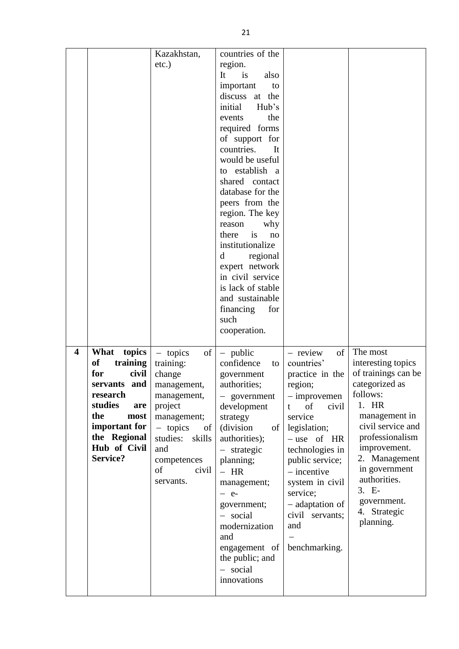|                         |                          | Kazakhstan,            | countries of the                  |                                    |                                       |
|-------------------------|--------------------------|------------------------|-----------------------------------|------------------------------------|---------------------------------------|
|                         |                          | $etc.$ )               | region.<br>It<br>is<br>also       |                                    |                                       |
|                         |                          |                        | important<br>to                   |                                    |                                       |
|                         |                          |                        | discuss at the                    |                                    |                                       |
|                         |                          |                        | initial<br>Hub's                  |                                    |                                       |
|                         |                          |                        | the<br>events                     |                                    |                                       |
|                         |                          |                        | required forms                    |                                    |                                       |
|                         |                          |                        | of support for                    |                                    |                                       |
|                         |                          |                        | countries.<br>It                  |                                    |                                       |
|                         |                          |                        | would be useful                   |                                    |                                       |
|                         |                          |                        | to establish a                    |                                    |                                       |
|                         |                          |                        | shared contact                    |                                    |                                       |
|                         |                          |                        | database for the                  |                                    |                                       |
|                         |                          |                        | peers from the                    |                                    |                                       |
|                         |                          |                        | region. The key                   |                                    |                                       |
|                         |                          |                        | reason<br>why                     |                                    |                                       |
|                         |                          |                        | is<br>there<br>no                 |                                    |                                       |
|                         |                          |                        | institutionalize<br>regional<br>d |                                    |                                       |
|                         |                          |                        | expert network                    |                                    |                                       |
|                         |                          |                        | in civil service                  |                                    |                                       |
|                         |                          |                        | is lack of stable                 |                                    |                                       |
|                         |                          |                        | and sustainable                   |                                    |                                       |
|                         |                          |                        | financing<br>for                  |                                    |                                       |
|                         |                          |                        | such                              |                                    |                                       |
|                         |                          |                        | cooperation.                      |                                    |                                       |
|                         |                          |                        |                                   |                                    |                                       |
| $\overline{\mathbf{4}}$ | What<br>topics           | of<br>$-$ topics       | $-$ public                        | of<br>- review                     | The most                              |
|                         | <b>of</b><br>training    | training:              | confidence<br>to                  | countries'                         | interesting topics                    |
|                         | for<br>civil             | change                 | government                        | practice in the                    | of trainings can be<br>categorized as |
|                         | servants and<br>research | management,            | authorities;                      | region;                            | follows:                              |
|                         | studies<br>are           | management,<br>project | - government<br>development       | $-$ improvemen<br>of<br>civil<br>t | 1. HR                                 |
|                         | the<br>most              | management;            | strategy                          | service                            | management in                         |
|                         | important for            | $-$ topics<br>of       | (division)<br>of                  | legislation;                       | civil service and                     |
|                         | the Regional             | studies:<br>skills     | authorities);                     | $-$ use of HR                      | professionalism                       |
|                         | Hub of Civil             | and                    | - strategic                       | technologies in                    | improvement.                          |
|                         | Service?                 | competences            | planning;                         | public service;                    | 2. Management                         |
|                         |                          | of<br>civil            | $- HR$                            | $-$ incentive                      | in government                         |
|                         |                          | servants.              | management;                       | system in civil                    | authorities.                          |
|                         |                          |                        | $-$ e-                            | service;                           | 3. E-                                 |
|                         |                          |                        | government;                       | - adaptation of                    | government.                           |
|                         |                          |                        | - social                          | civil servants;                    | 4. Strategic                          |
|                         |                          |                        |                                   |                                    |                                       |
|                         |                          |                        | modernization                     | and                                | planning.                             |
|                         |                          |                        | and                               |                                    |                                       |
|                         |                          |                        | engagement of                     | benchmarking.                      |                                       |
|                         |                          |                        | the public; and                   |                                    |                                       |
|                         |                          |                        | - social<br>innovations           |                                    |                                       |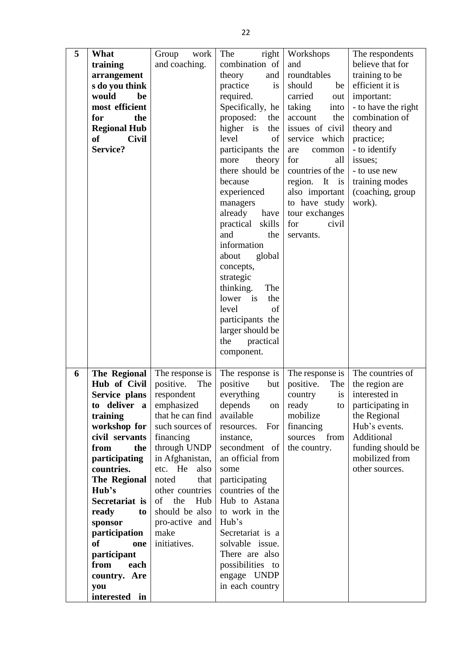| 5 | What                          | Group<br>work                  | right <br>The         | Workshops               | The respondents                  |
|---|-------------------------------|--------------------------------|-----------------------|-------------------------|----------------------------------|
|   | training                      | and coaching.                  | combination of        | and                     | believe that for                 |
|   | arrangement                   |                                | theory<br>and         | roundtables             | training to be                   |
|   | s do you think                |                                | practice<br>is        | should<br>be            | efficient it is                  |
|   | would<br>be                   |                                | required.             | carried<br>out          | important:                       |
|   | most efficient                |                                | Specifically, he      | taking<br>into          | - to have the right              |
|   | the<br>for                    |                                | proposed:<br>the      | account<br>the          | combination of                   |
|   | <b>Regional Hub</b>           |                                | higher is<br>the      | issues of civil         | theory and                       |
|   | <b>Civil</b><br>of            |                                | level<br>of           | service which           | practice;                        |
|   | Service?                      |                                | participants the      | are<br>common           | - to identify                    |
|   |                               |                                | theory<br>more        | for<br>all              | issues;                          |
|   |                               |                                | there should be       | countries of the        | - to use new                     |
|   |                               |                                | because               | region. It<br>is        | training modes                   |
|   |                               |                                | experienced           | also important          | (coaching, group                 |
|   |                               |                                | managers              | to have study           | work).                           |
|   |                               |                                | already have          | tour exchanges          |                                  |
|   |                               |                                | practical skills      | for<br>civil            |                                  |
|   |                               |                                | and<br>the            | servants.               |                                  |
|   |                               |                                | information           |                         |                                  |
|   |                               |                                | about<br>global       |                         |                                  |
|   |                               |                                | concepts,             |                         |                                  |
|   |                               |                                | strategic             |                         |                                  |
|   |                               |                                | thinking.<br>The      |                         |                                  |
|   |                               |                                | lower<br>is<br>the    |                         |                                  |
|   |                               |                                | level<br>of           |                         |                                  |
|   |                               |                                | participants the      |                         |                                  |
|   |                               |                                | larger should be      |                         |                                  |
|   |                               |                                | the<br>practical      |                         |                                  |
|   |                               |                                | component.            |                         |                                  |
|   |                               |                                |                       |                         |                                  |
| 6 | The Regional                  | The response is                | The response is       | The response is         | The countries of                 |
|   | Hub of Civil                  | positive.<br>The               | positive<br>but       | positive.<br>The<br>is  | the region are<br>interested in  |
|   | Service plans<br>to deliver a | respondent                     | everything<br>depends | country                 |                                  |
|   | training                      | emphasized<br>that he can find | on<br>available       | ready<br>to<br>mobilize | participating in<br>the Regional |
|   | workshop for                  | such sources of                | For<br>resources.     | financing               | Hub's events.                    |
|   | civil servants                | financing                      | instance,             | sources<br>from         | Additional                       |
|   | from<br>the                   | through UNDP                   | secondment of         | the country.            | funding should be                |
|   | participating                 | in Afghanistan,                | an official from      |                         | mobilized from                   |
|   | countries.                    | etc. He<br>also                | some                  |                         | other sources.                   |
|   | The Regional                  | noted<br>that                  | participating         |                         |                                  |
|   | Hub's                         | other countries                | countries of the      |                         |                                  |
|   | Secretariat is                | of the<br>Hub                  | Hub to Astana         |                         |                                  |
|   | ready<br>to                   | should be also                 | to work in the        |                         |                                  |
|   | sponsor                       | pro-active and                 | Hub's                 |                         |                                  |
|   | participation                 | make                           | Secretariat is a      |                         |                                  |
|   | <sub>of</sub><br>one          | initiatives.                   | solvable issue.       |                         |                                  |
|   | participant                   |                                | There are also        |                         |                                  |
|   | from<br>each                  |                                | possibilities to      |                         |                                  |
|   | country. Are                  |                                | engage UNDP           |                         |                                  |
|   | you                           |                                | in each country       |                         |                                  |
|   | interested in                 |                                |                       |                         |                                  |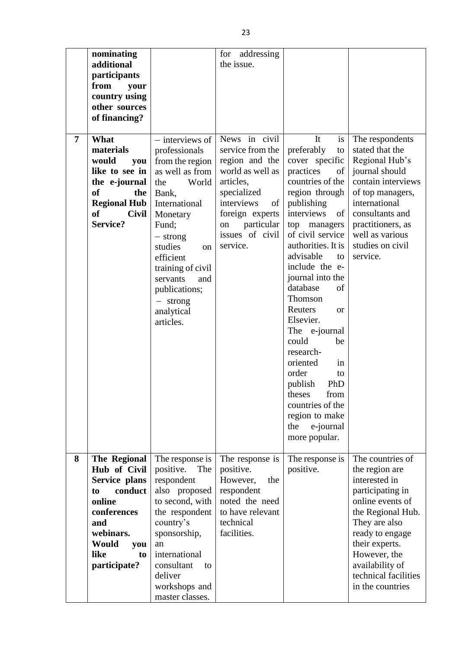|                | nominating<br>additional<br>participants<br>from<br>your<br>country using<br>other sources<br>of financing?                                                     |                                                                                                                                                                                                                                                                                     | for addressing<br>the issue.                                                                                                                                                                  |                                                                                                                                                                                                                                                                                                                                                                                                                                                                                                                            |                                                                                                                                                                                                                                                       |
|----------------|-----------------------------------------------------------------------------------------------------------------------------------------------------------------|-------------------------------------------------------------------------------------------------------------------------------------------------------------------------------------------------------------------------------------------------------------------------------------|-----------------------------------------------------------------------------------------------------------------------------------------------------------------------------------------------|----------------------------------------------------------------------------------------------------------------------------------------------------------------------------------------------------------------------------------------------------------------------------------------------------------------------------------------------------------------------------------------------------------------------------------------------------------------------------------------------------------------------------|-------------------------------------------------------------------------------------------------------------------------------------------------------------------------------------------------------------------------------------------------------|
| $\overline{7}$ | What<br>materials<br>would<br>you<br>like to see in<br>the e-journal<br><b>of</b><br>the<br><b>Regional Hub</b><br><b>of</b><br><b>Civil</b><br><b>Service?</b> | - interviews of<br>professionals<br>from the region<br>as well as from<br>World<br>the<br>Bank,<br>International<br>Monetary<br>Fund;<br>$-$ strong<br>studies<br>on<br>efficient<br>training of civil<br>servants<br>and<br>publications;<br>$-$ strong<br>analytical<br>articles. | News in civil<br>service from the<br>region and the<br>world as well as<br>articles,<br>specialized<br>interviews<br>of<br>foreign experts<br>particular<br>on<br>issues of civil<br>service. | It<br>is<br>preferably<br>to<br>cover specific<br>practices<br>of<br>countries of the<br>region through<br>publishing<br>interviews<br>of<br>top managers<br>of civil service<br>authorities. It is<br>advisable<br>to<br>include the e-<br>journal into the<br>database<br>of<br>Thomson<br>Reuters<br>$\alpha$<br>Elsevier.<br>The e-journal<br>could<br>be<br>research-<br>oriented<br>in<br>order<br>to<br>publish<br>PhD<br>from<br>theses<br>countries of the<br>region to make<br>the<br>e-journal<br>more popular. | The respondents<br>stated that the<br>Regional Hub's<br>journal should<br>contain interviews<br>of top managers,<br>international<br>consultants and<br>practitioners, as<br>well as various<br>studies on civil<br>service.                          |
| 8              | The Regional<br>Hub of Civil<br>Service plans<br>conduct<br>to<br>online<br>conferences<br>and<br>webinars.<br>Would<br>you<br>like<br>to<br>participate?       | The response is<br>positive.<br>The<br>respondent<br>also proposed<br>to second, with<br>the respondent<br>country's<br>sponsorship,<br>an<br>international<br>consultant<br>to<br>deliver<br>workshops and<br>master classes.                                                      | The response is<br>positive.<br>However,<br>the<br>respondent<br>noted the need<br>to have relevant<br>technical<br>facilities.                                                               | The response is<br>positive.                                                                                                                                                                                                                                                                                                                                                                                                                                                                                               | The countries of<br>the region are<br>interested in<br>participating in<br>online events of<br>the Regional Hub.<br>They are also<br>ready to engage<br>their experts.<br>However, the<br>availability of<br>technical facilities<br>in the countries |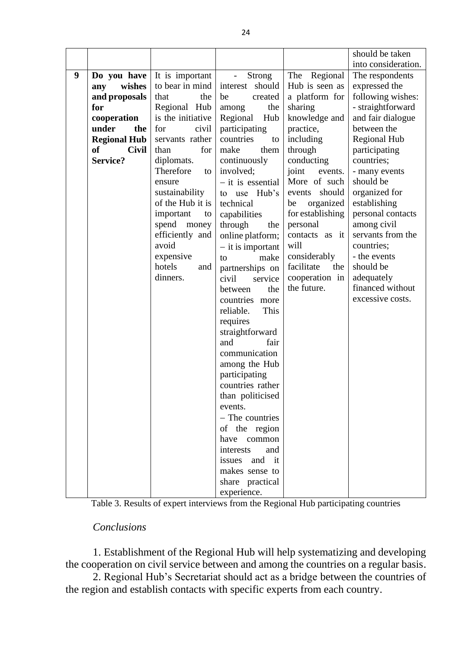|   |                           |                   |                                           |                   | should be taken     |
|---|---------------------------|-------------------|-------------------------------------------|-------------------|---------------------|
|   |                           |                   |                                           |                   | into consideration. |
| 9 | Do you have               | It is important   | <b>Strong</b><br>$\overline{\phantom{m}}$ | Regional<br>The   | The respondents     |
|   | wishes<br>any             | to bear in mind   | should<br>interest                        | Hub is seen as    | expressed the       |
|   | and proposals             | that<br>the       | be<br>created                             | a platform for    | following wishes:   |
|   | for                       | Regional Hub      | the<br>among                              | sharing           | - straightforward   |
|   | cooperation               | is the initiative | Regional<br>Hub                           | knowledge and     | and fair dialogue   |
|   | under<br>the              | civil<br>for      | participating                             | practice,         | between the         |
|   | <b>Regional Hub</b>       | servants rather   | countries<br>to                           | including         | <b>Regional Hub</b> |
|   | <b>of</b><br><b>Civil</b> | for<br>than       | make<br>them                              | through           | participating       |
|   | <b>Service?</b>           | diplomats.        | continuously                              | conducting        | countries;          |
|   |                           | Therefore<br>to   | involved;                                 | joint<br>events.  | - many events       |
|   |                           | ensure            | $-$ it is essential                       | More of such      | should be           |
|   |                           | sustainability    | use Hub's<br>to                           | should<br>events  | organized for       |
|   |                           | of the Hub it is  | technical                                 | organized<br>be   | establishing        |
|   |                           | important<br>to   | capabilities                              | for establishing  | personal contacts   |
|   |                           | spend<br>money    | through<br>the                            | personal          | among civil         |
|   |                           | efficiently and   | online platform;                          | contacts as it    | servants from the   |
|   |                           | avoid             | $-$ it is important                       | will              | countries;          |
|   |                           | expensive         | make<br>to                                | considerably      | - the events        |
|   |                           | hotels<br>and     | partnerships on                           | facilitate<br>the | should be           |
|   |                           | dinners.          | civil<br>service                          | cooperation in    | adequately          |
|   |                           |                   | the<br>between                            | the future.       | financed without    |
|   |                           |                   | countries more                            |                   | excessive costs.    |
|   |                           |                   | reliable.<br>This                         |                   |                     |
|   |                           |                   | requires                                  |                   |                     |
|   |                           |                   | straightforward                           |                   |                     |
|   |                           |                   | and<br>fair                               |                   |                     |
|   |                           |                   | communication                             |                   |                     |
|   |                           |                   | among the Hub                             |                   |                     |
|   |                           |                   | participating                             |                   |                     |
|   |                           |                   | countries rather                          |                   |                     |
|   |                           |                   | than politicised                          |                   |                     |
|   |                           |                   | events.                                   |                   |                     |
|   |                           |                   | - The countries                           |                   |                     |
|   |                           |                   | of the region                             |                   |                     |
|   |                           |                   | have common                               |                   |                     |
|   |                           |                   | interests<br>and                          |                   |                     |
|   |                           |                   | issues and it                             |                   |                     |
|   |                           |                   | makes sense to                            |                   |                     |
|   |                           |                   | share practical                           |                   |                     |
|   |                           |                   | experience.                               |                   |                     |

Table 3. Results of expert interviews from the Regional Hub participating countries

### *Conclusions*

1. Establishment of the Regional Hub will help systematizing and developing the cooperation on civil service between and among the countries on a regular basis.

2. Regional Hub's Secretariat should act as a bridge between the countries of the region and establish contacts with specific experts from each country.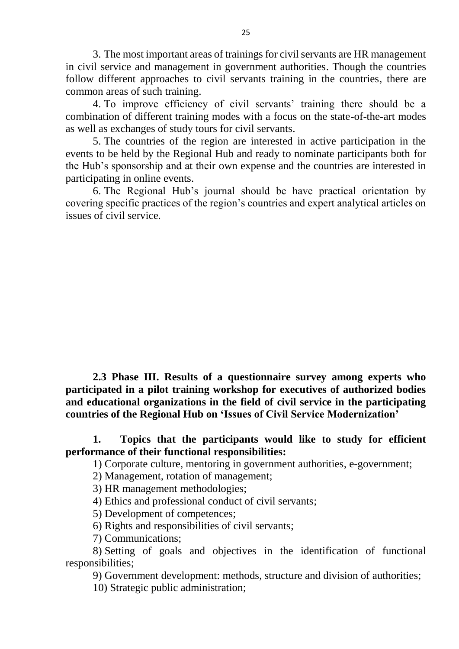3. The most important areas of trainings for civil servants are HR management in civil service and management in government authorities. Though the countries follow different approaches to civil servants training in the countries, there are common areas of such training.

4. To improve efficiency of civil servants' training there should be a combination of different training modes with a focus on the state-of-the-art modes as well as exchanges of study tours for civil servants.

5. The countries of the region are interested in active participation in the events to be held by the Regional Hub and ready to nominate participants both for the Hub's sponsorship and at their own expense and the countries are interested in participating in online events.

6. The Regional Hub's journal should be have practical orientation by covering specific practices of the region's countries and expert analytical articles on issues of civil service.

**2.3 Phase III. Results of a questionnaire survey among experts who participated in a pilot training workshop for executives of authorized bodies and educational organizations in the field of civil service in the participating countries of the Regional Hub on 'Issues of Civil Service Modernization'**

## **1. Topics that the participants would like to study for efficient performance of their functional responsibilities:**

1) Corporate culture, mentoring in government authorities, e-government;

- 2) Management, rotation of management;
- 3) HR management methodologies;
- 4) Ethics and professional conduct of civil servants;
- 5) Development of competences;
- 6) Rights and responsibilities of civil servants;
- 7) Communications;

8) Setting of goals and objectives in the identification of functional responsibilities;

9) Government development: methods, structure and division of authorities;

10) Strategic public administration;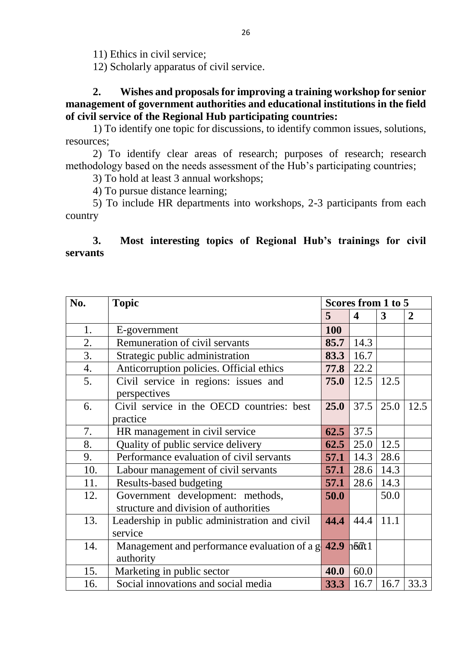11) Ethics in civil service;

12) Scholarly apparatus of civil service.

**2. Wishes and proposals for improving a training workshop for senior management of government authorities and educational institutions in the field of civil service of the Regional Hub participating countries:** 

1) To identify one topic for discussions, to identify common issues, solutions, resources;

2) To identify clear areas of research; purposes of research; research methodology based on the needs assessment of the Hub's participating countries;

3) To hold at least 3 annual workshops;

4) To pursue distance learning;

5) To include HR departments into workshops, 2-3 participants from each country

## **3. Most interesting topics of Regional Hub's trainings for civil servants**

| No. | <b>Topic</b>                                           |      | Scores from 1 to 5      |                  |                |  |
|-----|--------------------------------------------------------|------|-------------------------|------------------|----------------|--|
|     |                                                        | 5    | $\boldsymbol{4}$        | 3                | $\overline{2}$ |  |
| 1.  | E-government                                           | 100  |                         |                  |                |  |
| 2.  | Remuneration of civil servants                         | 85.7 | 14.3                    |                  |                |  |
| 3.  | Strategic public administration                        | 83.3 | 16.7                    |                  |                |  |
| 4.  | Anticorruption policies. Official ethics               | 77.8 | 22.2                    |                  |                |  |
| 5.  | Civil service in regions: issues and                   | 75.0 | 12.5                    | 12.5             |                |  |
|     | perspectives                                           |      |                         |                  |                |  |
| 6.  | Civil service in the OECD countries: best              | 25.0 |                         | $37.5 \mid 25.0$ | 12.5           |  |
|     | practice                                               |      |                         |                  |                |  |
| 7.  | HR management in civil service                         | 62.5 | 37.5                    |                  |                |  |
| 8.  | Quality of public service delivery                     | 62.5 | 25.0                    | 12.5             |                |  |
| 9.  | Performance evaluation of civil servants               | 57.1 | 14.3                    | 28.6             |                |  |
| 10. | Labour management of civil servants                    | 57.1 | 28.6                    | 14.3             |                |  |
| 11. | <b>Results-based budgeting</b>                         | 57.1 | 28.6                    | 14.3             |                |  |
| 12. | Government development: methods,                       | 50.0 |                         | 50.0             |                |  |
|     | structure and division of authorities                  |      |                         |                  |                |  |
| 13. | Leadership in public administration and civil          | 44.4 | 44.4                    | 11.1             |                |  |
|     | service                                                |      |                         |                  |                |  |
| 14. | Management and performance evaluation of a $g \, 42.9$ |      | $h$ <sup>67</sup> $t$ 1 |                  |                |  |
|     | authority                                              |      |                         |                  |                |  |
| 15. | Marketing in public sector                             | 40.0 | 60.0                    |                  |                |  |
| 16. | Social innovations and social media                    | 33.3 | 16.7                    | 16.7             | 33.3           |  |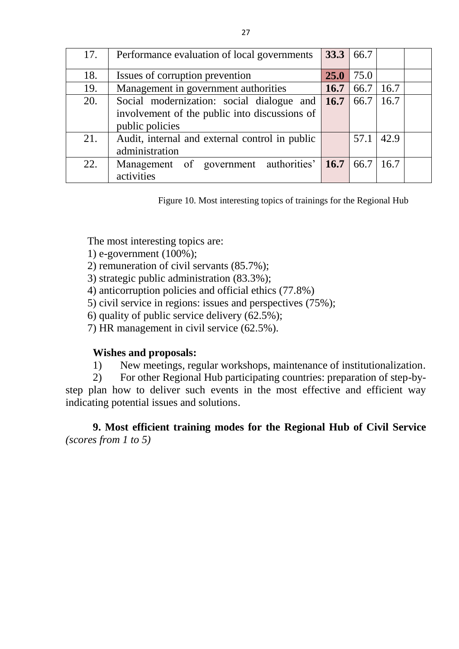| 17. | Performance evaluation of local governments     | 33.3   66.7 |      |      |  |
|-----|-------------------------------------------------|-------------|------|------|--|
| 18. | Issues of corruption prevention                 | <b>25.0</b> | 75.0 |      |  |
| 19. | Management in government authorities            | 16.7        | 66.7 | 16.7 |  |
| 20. | Social modernization: social dialogue and       | 16.7        | 66.7 | 16.7 |  |
|     | involvement of the public into discussions of   |             |      |      |  |
|     | public policies                                 |             |      |      |  |
| 21. | Audit, internal and external control in public  |             | 57.1 | 42.9 |  |
|     | administration                                  |             |      |      |  |
| 22. | Management of government authorities' 16.7 66.7 |             |      | 16.7 |  |
|     | activities                                      |             |      |      |  |

Figure 10. Most interesting topics of trainings for the Regional Hub

The most interesting topics are:

1) e-government (100%);

2) remuneration of civil servants (85.7%);

3) strategic public administration (83.3%);

4) anticorruption policies and official ethics (77.8%)

5) civil service in regions: issues and perspectives (75%);

6) quality of public service delivery (62.5%);

7) HR management in civil service (62.5%).

# **Wishes and proposals:**

1) New meetings, regular workshops, maintenance of institutionalization.

2) For other Regional Hub participating countries: preparation of step-bystep plan how to deliver such events in the most effective and efficient way indicating potential issues and solutions.

**9. Most efficient training modes for the Regional Hub of Civil Service** *(scores from 1 to 5)*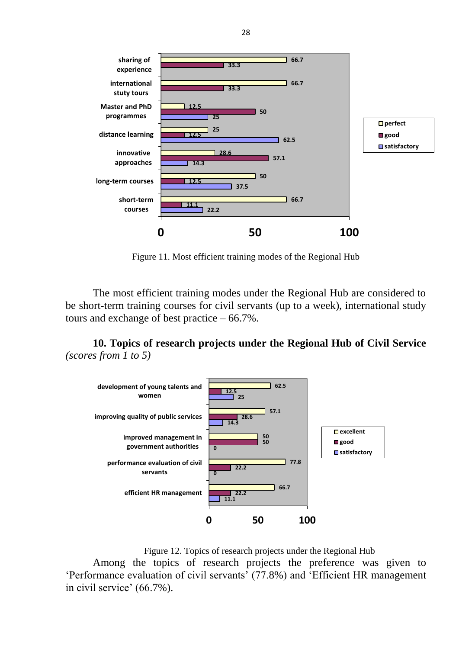

Figure 11. Most efficient training modes of the Regional Hub

The most efficient training modes under the Regional Hub are considered to be short-term training courses for civil servants (up to a week), international study tours and exchange of best practice – 66.7%.

**10. Topics of research projects under the Regional Hub of Civil Service** *(scores from 1 to 5)*



Figure 12. Topics of research projects under the Regional Hub

Among the topics of research projects the preference was given to 'Performance evaluation of civil servants' (77.8%) and 'Efficient HR management in civil service' (66.7%).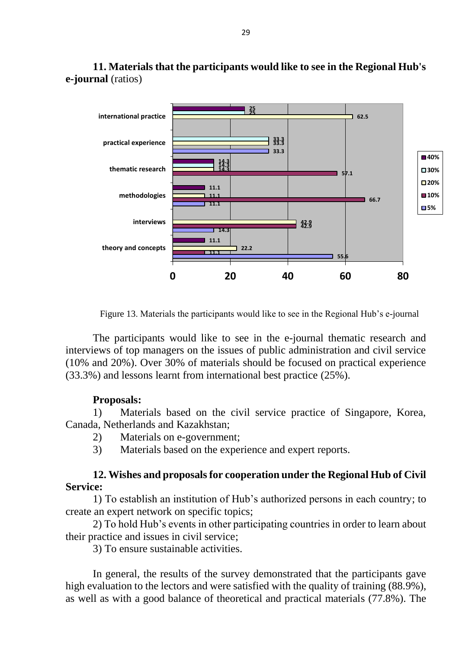

**11. Materials that the participants would like to see in the Regional Hub's e-journal** (ratios)

Figure 13. Materials the participants would like to see in the Regional Hub's e-journal

The participants would like to see in the e-journal thematic research and interviews of top managers on the issues of public administration and civil service (10% and 20%). Over 30% of materials should be focused on practical experience (33.3%) and lessons learnt from international best practice (25%).

#### **Proposals:**

1) Materials based on the civil service practice of Singapore, Korea, Canada, Netherlands and Kazakhstan;

- 2) Materials on e-government;
- 3) Materials based on the experience and expert reports.

## **12. Wishes and proposals for cooperation under the Regional Hub of Civil Service:**

1) To establish an institution of Hub's authorized persons in each country; to create an expert network on specific topics;

2) To hold Hub's events in other participating countries in order to learn about their practice and issues in civil service;

3) To ensure sustainable activities.

In general, the results of the survey demonstrated that the participants gave high evaluation to the lectors and were satisfied with the quality of training (88.9%), as well as with a good balance of theoretical and practical materials (77.8%). The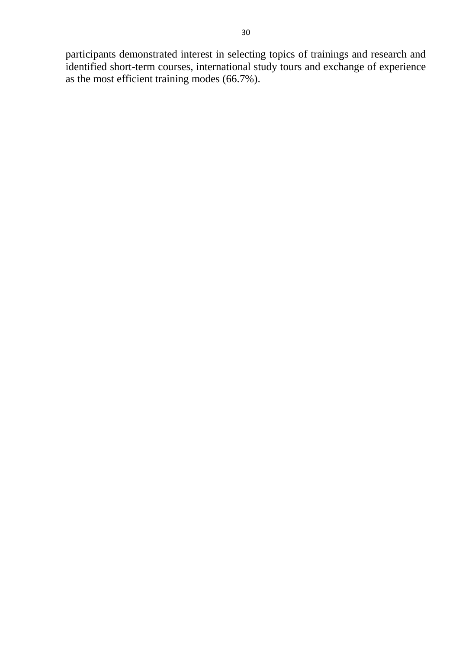participants demonstrated interest in selecting topics of trainings and research and identified short-term courses, international study tours and exchange of experience as the most efficient training modes (66.7%).